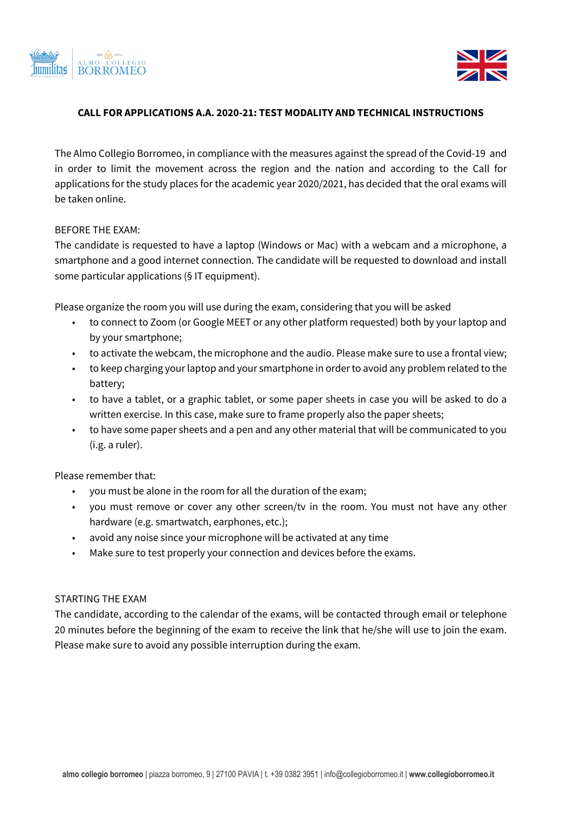



#### **CALL FOR APPLICATIONS A.A. 2020-21: TEST MODALITY AND TECHNICAL INSTRUCTIONS**

The Almo Collegio Borromeo, in compliance with the measures against the spread of the Covid-19 and in order to limit the movement across the region and the nation and according to the Call for applications for the study places for the academic year 2020/2021, has decided that the oral exams will be taken online.

#### BEFORE THE EXAM:

The candidate is requested to have a laptop (Windows or Mac) with a webcam and a microphone, a smartphone and a good internet connection. The candidate will be requested to download and install some particular applications (§ IT equipment).

Please organize the room you will use during the exam, considering that you will be asked

- to connect to Zoom (or Google MEET or any other platform requested) both by your laptop and by your smartphone;
- to activate the webcam, the microphone and the audio. Please make sure to use a frontal view;
- to keep charging your laptop and your smartphone in order to avoid any problem related to the battery;
- to have a tablet, or a graphic tablet, or some paper sheets in case you will be asked to do a written exercise. In this case, make sure to frame properly also the paper sheets;
- to have some paper sheets and a pen and any other material that will be communicated to you (i.g. a ruler).

Please remember that:

- you must be alone in the room for all the duration of the exam;
- you must remove or cover any other screen/tv in the room. You must not have any other hardware (e.g. smartwatch, earphones, etc.);
- avoid any noise since your microphone will be activated at any time
- Make sure to test properly your connection and devices before the exams.

# STARTING THE EXAM

The candidate, according to the calendar of the exams, will be contacted through email or telephone 20 minutes before the beginning of the exam to receive the link that he/she will use to join the exam. Please make sure to avoid any possible interruption during the exam.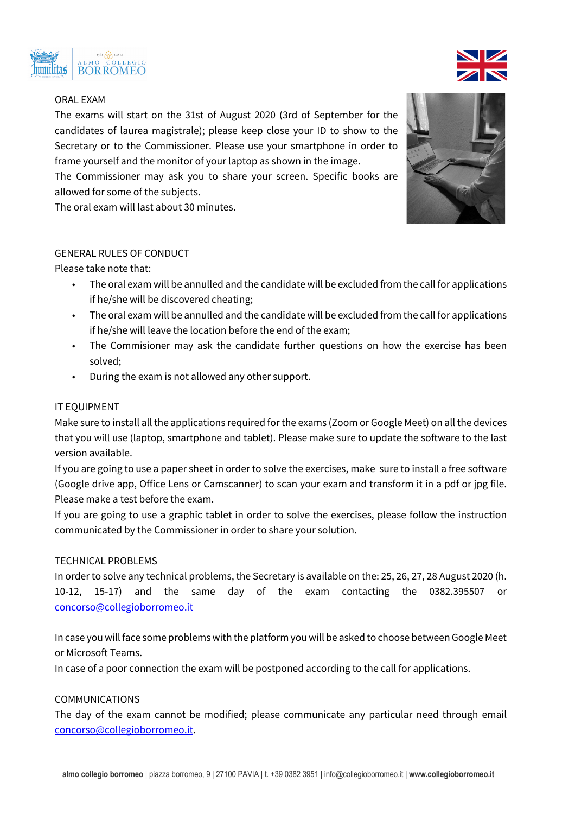



# ORAL EXAM

The exams will start on the 31st of August 2020 (3rd of September for the candidates of laurea magistrale); please keep close your ID to show to the Secretary or to the Commissioner. Please use your smartphone in order to frame yourself and the monitor of your laptop as shown in the image.

The Commissioner may ask you to share your screen. Specific books are allowed for some of the subjects.

The oral exam will last about 30 minutes.

## GENERAL RULES OF CONDUCT

Please take note that:

- The oral exam will be annulled and the candidate will be excluded from the call for applications if he/she will be discovered cheating;
- The oral exam will be annulled and the candidate will be excluded from the call for applications if he/she will leave the location before the end of the exam;
- The Commisioner may ask the candidate further questions on how the exercise has been solved;
- During the exam is not allowed any other support.

## IT EQUIPMENT

Make sure to install all the applications required for the exams (Zoom or Google Meet) on all the devices that you will use (laptop, smartphone and tablet). Please make sure to update the software to the last version available.

If you are going to use a paper sheet in order to solve the exercises, make sure to install a free software (Google drive app, Office Lens or Camscanner) to scan your exam and transform it in a pdf or jpg file. Please make a test before the exam.

If you are going to use a graphic tablet in order to solve the exercises, please follow the instruction communicated by the Commissioner in order to share your solution.

#### TECHNICAL PROBLEMS

In order to solve any technical problems, the Secretary is available on the: 25, 26, 27, 28 August 2020 (h. 10-12, 15-17) and the same day of the exam contacting the 0382.395507 or concorso@collegioborromeo.it

In case you will face some problems with the platform you will be asked to choose between Google Meet or Microsoft Teams.

In case of a poor connection the exam will be postponed according to the call for applications.

## COMMUNICATIONS

The day of the exam cannot be modified; please communicate any particular need through email concorso@collegioborromeo.it.